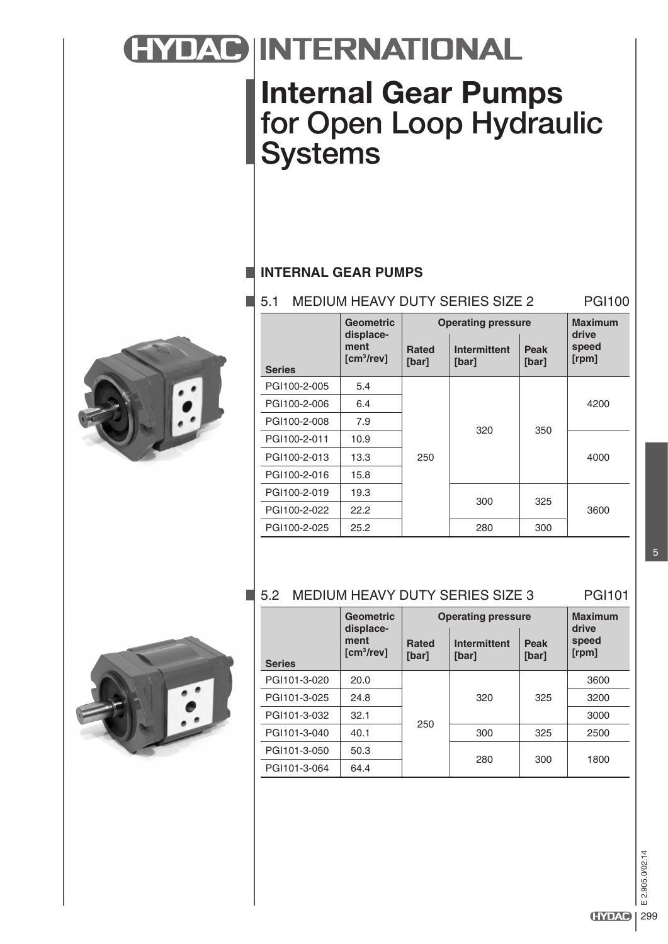# HYDAC INTERNATIONAL

# **Internal Gear Pumps** for Open Loop Hydraulic **Systems**

## **INTERNAL GEAR PUMPS**

#### 5.1 MEDIUM HEAVY DUTY SERIES SIZE 2 PGI100



|               | <b>Geometric</b><br>displace-  | <b>Operating pressure</b> | <b>Maximum</b><br>drive      |               |                |
|---------------|--------------------------------|---------------------------|------------------------------|---------------|----------------|
| <b>Series</b> | ment<br>[cm <sup>3</sup> /rev] | <b>Rated</b><br>[bar]     | <b>Intermittent</b><br>[bar] | Peak<br>[bar] | speed<br>[rpm] |
| PGI100-2-005  | 5.4                            | 250                       | 320                          | 350           | 4200           |
| PGI100-2-006  | 6.4                            |                           |                              |               |                |
| PGI100-2-008  | 7.9                            |                           |                              |               |                |
| PGI100-2-011  | 10.9                           |                           |                              |               | 4000           |
| PGI100-2-013  | 13.3                           |                           |                              |               |                |
| PGI100-2-016  | 15.8                           |                           |                              |               |                |
| PGI100-2-019  | 19.3                           |                           | 300                          | 325           | 3600           |
| PGI100-2-022  | 22.2                           |                           |                              |               |                |
| PGI100-2-025  | 25.2                           |                           | 280                          | 300           |                |

## 5.2 MEDIUM HEAVY DUTY SERIES SIZE 3 PGI101



|               | <b>Geometric</b><br>displace-     | <b>Operating pressure</b> |                              |                      | <b>Maximum</b><br>drive |
|---------------|-----------------------------------|---------------------------|------------------------------|----------------------|-------------------------|
| <b>Series</b> | ment<br>$\text{[cm}^3\text{/rev}$ | <b>Rated</b><br>[bar]     | <b>Intermittent</b><br>[bar] | <b>Peak</b><br>[bar] | speed<br>[rpm]          |
| PGI101-3-020  | 20.0                              | 250                       |                              |                      | 3600                    |
| PGI101-3-025  | 24.8                              |                           | 320                          | 325                  | 3200                    |
| PGI101-3-032  | 32.1                              |                           |                              |                      | 3000                    |
| PGI101-3-040  | 40.1                              |                           | 300                          | 325                  | 2500                    |
| PGI101-3-050  | 50.3                              |                           | 280                          | 300                  | 1800                    |
| PGI101-3-064  | 64.4                              |                           |                              |                      |                         |